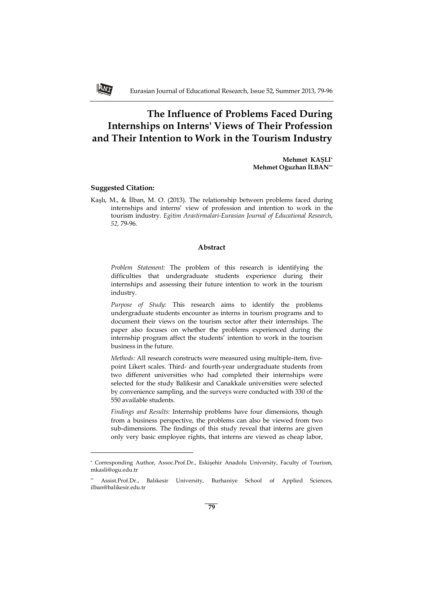# **The Influence of Problems Faced During Internships on Interns' Views of Their Profession and Their Intention to Work in the Tourism Industry**

**Mehmet KAŞLI\* Mehmet Oğuzhan İLBAN\*\***

# **Suggested Citation:**

ANT

 $\overline{\phantom{0}}$ 

Kaşlı, M., & İlban, M. O. (2013). The relationship between problems faced during internships and interns' view of profession and intention to work in the tourism industry. *Egitim Arastirmalari-Eurasian Journal of Educational Research*, *52,* 79-96.

#### **Abstract**

*Problem Statement:* The problem of this research is identifying the difficulties that undergraduate students experience during their internships and assessing their future intention to work in the tourism industry.

*Purpose of Study:* This research aims to identify the problems undergraduate students encounter as interns in tourism programs and to document their views on the tourism sector after their internships. The paper also focuses on whether the problems experienced during the internship program affect the students' intention to work in the tourism business in the future.

*Methods:* All research constructs were measured using multiple-item, fivepoint Likert scales. Third- and fourth-year undergraduate students from two different universities who had completed their internships were selected for the study Balikesir and Canakkale universities were selected by convenience sampling, and the surveys were conducted with 330 of the 550 available students.

*Findings and Results:* Internship problems have four dimensions, though from a business perspective, the problems can also be viewed from two sub-dimensions. The findings of this study reveal that interns are given only very basic employee rights, that interns are viewed as cheap labor,

<sup>\*</sup> Corresponding Author, Assoc.Prof.Dr., Eskişehir Anadolu University, Faculty of Tourism, mkasli@ogu.edu.tr

<sup>\*\*</sup> Assist.Prof.Dr., Balıkesir University, Burhaniye School of Applied Sciences, ilban@balikesir.edu.tr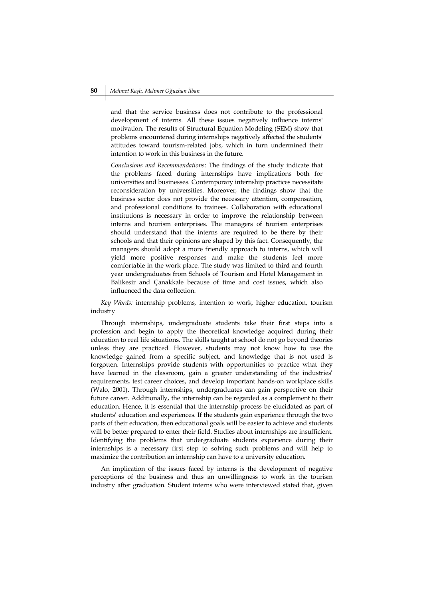and that the service business does not contribute to the professional development of interns. All these issues negatively influence interns' motivation. The results of Structural Equation Modeling (SEM) show that problems encountered during internships negatively affected the students' attitudes toward tourism-related jobs, which in turn undermined their intention to work in this business in the future.

*Conclusions and Recommendations:* The findings of the study indicate that the problems faced during internships have implications both for universities and businesses. Contemporary internship practices necessitate reconsideration by universities. Moreover, the findings show that the business sector does not provide the necessary attention, compensation, and professional conditions to trainees. Collaboration with educational institutions is necessary in order to improve the relationship between interns and tourism enterprises. The managers of tourism enterprises should understand that the interns are required to be there by their schools and that their opinions are shaped by this fact. Consequently, the managers should adopt a more friendly approach to interns, which will yield more positive responses and make the students feel more comfortable in the work place. The study was limited to third and fourth year undergraduates from Schools of Tourism and Hotel Management in Balikesir and Çanakkale because of time and cost issues, which also influenced the data collection.

*Key Words:* internship problems, intention to work, higher education, tourism industry

Through internships, undergraduate students take their first steps into a profession and begin to apply the theoretical knowledge acquired during their education to real life situations. The skills taught at school do not go beyond theories unless they are practiced. However, students may not know how to use the knowledge gained from a specific subject, and knowledge that is not used is forgotten. Internships provide students with opportunities to practice what they have learned in the classroom, gain a greater understanding of the industries' requirements, test career choices, and develop important hands-on workplace skills (Walo, 2001). Through internships, undergraduates can gain perspective on their future career. Additionally, the internship can be regarded as a complement to their education. Hence, it is essential that the internship process be elucidated as part of students' education and experiences. If the students gain experience through the two parts of their education, then educational goals will be easier to achieve and students will be better prepared to enter their field. Studies about internships are insufficient. Identifying the problems that undergraduate students experience during their internships is a necessary first step to solving such problems and will help to maximize the contribution an internship can have to a university education.

An implication of the issues faced by interns is the development of negative perceptions of the business and thus an unwillingness to work in the tourism industry after graduation. Student interns who were interviewed stated that, given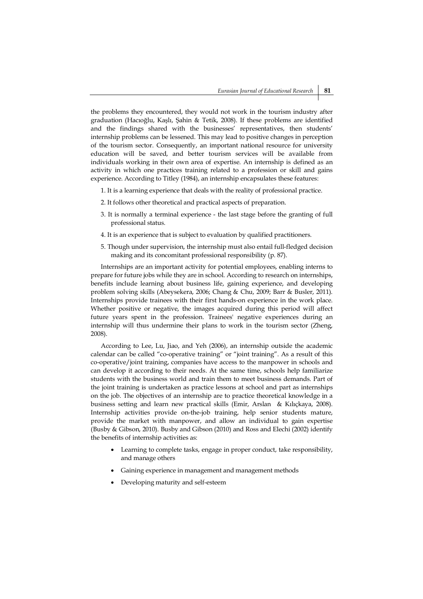the problems they encountered, they would not work in the tourism industry after graduation (Hacıoğlu, Kaşlı, Şahin & Tetik, 2008). If these problems are identified and the findings shared with the businesses' representatives, then students' internship problems can be lessened. This may lead to positive changes in perception of the tourism sector. Consequently, an important national resource for university education will be saved, and better tourism services will be available from individuals working in their own area of expertise. An internship is defined as an activity in which one practices training related to a profession or skill and gains experience. According to Titley (1984), an internship encapsulates these features:

- 1. It is a learning experience that deals with the reality of professional practice.
- 2. It follows other theoretical and practical aspects of preparation.
- 3. It is normally a terminal experience the last stage before the granting of full professional status.
- 4. It is an experience that is subject to evaluation by qualified practitioners.
- 5. Though under supervision, the internship must also entail full-fledged decision making and its concomitant professional responsibility (p. 87).

Internships are an important activity for potential employees, enabling interns to prepare for future jobs while they are in school. According to research on internships, benefits include learning about business life, gaining experience, and developing problem solving skills (Abeysekera, 2006; Chang & Chu, 2009; Barr & Busler, 2011). Internships provide trainees with their first hands-on experience in the work place. Whether positive or negative, the images acquired during this period will affect future years spent in the profession. Trainees' negative experiences during an internship will thus undermine their plans to work in the tourism sector (Zheng, 2008).

According to Lee, Lu, Jiao, and Yeh (2006), an internship outside the academic calendar can be called "co-operative training" or "joint training". As a result of this co-operative/joint training, companies have access to the manpower in schools and can develop it according to their needs. At the same time, schools help familiarize students with the business world and train them to meet business demands. Part of the joint training is undertaken as practice lessons at school and part as internships on the job. The objectives of an internship are to practice theoretical knowledge in a business setting and learn new practical skills (Emir, Arslan & Kılıçkaya, 2008). Internship activities provide on-the-job training, help senior students mature, provide the market with manpower, and allow an individual to gain expertise (Busby & Gibson, 2010). Busby and Gibson (2010) and Ross and Elechi (2002) identify the benefits of internship activities as:

- Learning to complete tasks, engage in proper conduct, take responsibility, and manage others
- Gaining experience in management and management methods
- Developing maturity and self-esteem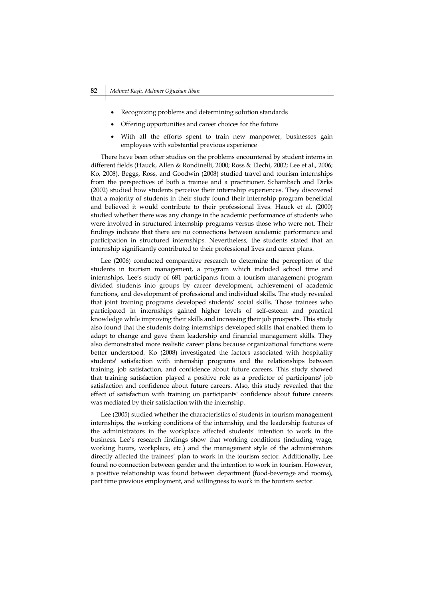- Recognizing problems and determining solution standards
- Offering opportunities and career choices for the future
- With all the efforts spent to train new manpower, businesses gain employees with substantial previous experience

There have been other studies on the problems encountered by student interns in different fields (Hauck, Allen & Rondinelli, 2000; Ross & Elechi, 2002; Lee et al., 2006; Ko, 2008), Beggs, Ross, and Goodwin (2008) studied travel and tourism internships from the perspectives of both a trainee and a practitioner. Schambach and Dirks (2002) studied how students perceive their internship experiences. They discovered that a majority of students in their study found their internship program beneficial and believed it would contribute to their professional lives. Hauck et al. (2000) studied whether there was any change in the academic performance of students who were involved in structured internship programs versus those who were not. Their findings indicate that there are no connections between academic performance and participation in structured internships. Nevertheless, the students stated that an internship significantly contributed to their professional lives and career plans.

Lee (2006) conducted comparative research to determine the perception of the students in tourism management, a program which included school time and internships. Lee's study of 681 participants from a tourism management program divided students into groups by career development, achievement of academic functions, and development of professional and individual skills. The study revealed that joint training programs developed students' social skills. Those trainees who participated in internships gained higher levels of self-esteem and practical knowledge while improving their skills and increasing their job prospects. This study also found that the students doing internships developed skills that enabled them to adapt to change and gave them leadership and financial management skills. They also demonstrated more realistic career plans because organizational functions were better understood. Ko (2008) investigated the factors associated with hospitality students' satisfaction with internship programs and the relationships between training, job satisfaction, and confidence about future careers. This study showed that training satisfaction played a positive role as a predictor of participants' job satisfaction and confidence about future careers. Also, this study revealed that the effect of satisfaction with training on participants' confidence about future careers was mediated by their satisfaction with the internship.

Lee (2005) studied whether the characteristics of students in tourism management internships, the working conditions of the internship, and the leadership features of the administrators in the workplace affected students' intention to work in the business. Lee's research findings show that working conditions (including wage, working hours, workplace, etc.) and the management style of the administrators directly affected the trainees' plan to work in the tourism sector. Additionally, Lee found no connection between gender and the intention to work in tourism. However, a positive relationship was found between department (food-beverage and rooms), part time previous employment, and willingness to work in the tourism sector.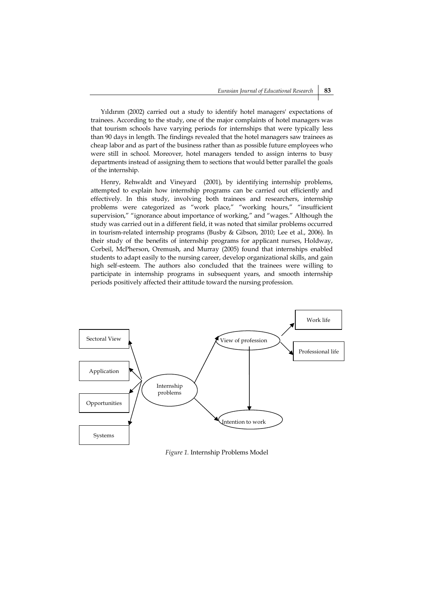Yıldırım (2002) carried out a study to identify hotel managers' expectations of trainees. According to the study, one of the major complaints of hotel managers was that tourism schools have varying periods for internships that were typically less than 90 days in length. The findings revealed that the hotel managers saw trainees as cheap labor and as part of the business rather than as possible future employees who were still in school. Moreover, hotel managers tended to assign interns to busy departments instead of assigning them to sections that would better parallel the goals of the internship.

Henry, Rehwaldt and Vineyard (2001), by identifying internship problems, attempted to explain how internship programs can be carried out efficiently and effectively. In this study, involving both trainees and researchers, internship problems were categorized as "work place," "working hours," "insufficient supervision," "ignorance about importance of working," and "wages." Although the study was carried out in a different field, it was noted that similar problems occurred in tourism-related internship programs (Busby & Gibson, 2010; Lee et al., 2006). In their study of the benefits of internship programs for applicant nurses, Holdway, Corbeil, McPherson, Oremush, and Murray (2005) found that internships enabled students to adapt easily to the nursing career, develop organizational skills, and gain high self-esteem. The authors also concluded that the trainees were willing to participate in internship programs in subsequent years, and smooth internship periods positively affected their attitude toward the nursing profession.



*Figure 1.* Internship Problems Model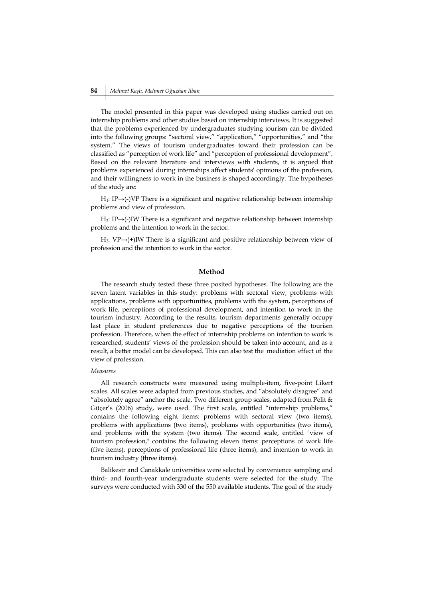#### **84** *Mehmet Kaşlı, Mehmet Oğuzhan İlban*

The model presented in this paper was developed using studies carried out on internship problems and other studies based on internship interviews. It is suggested that the problems experienced by undergraduates studying tourism can be divided into the following groups: "sectoral view," "application," "opportunities," and "the system." The views of tourism undergraduates toward their profession can be classified as "perception of work life" and "perception of professional development". Based on the relevant literature and interviews with students, it is argued that problems experienced during internships affect students' opinions of the profession, and their willingness to work in the business is shaped accordingly. The hypotheses of the study are:

H1: IP→(-)VP There is a significant and negative relationship between internship problems and view of profession.

H2: IP→(-)IW There is a significant and negative relationship between internship problems and the intention to work in the sector.

H3: VP→(+)IW There is a significant and positive relationship between view of profession and the intention to work in the sector.

#### **Method**

The research study tested these three posited hypotheses. The following are the seven latent variables in this study: problems with sectoral view, problems with applications, problems with opportunities, problems with the system, perceptions of work life, perceptions of professional development, and intention to work in the tourism industry. According to the results, tourism departments generally occupy last place in student preferences due to negative perceptions of the tourism profession. Therefore, when the effect of internship problems on intention to work is researched, students' views of the profession should be taken into account, and as a result, a better model can be developed. This can also test the mediation effect of the view of profession.

## *Measures*

All research constructs were measured using multiple-item, five-point Likert scales. All scales were adapted from previous studies, and "absolutely disagree" and "absolutely agree" anchor the scale. Two different group scales, adapted from Pelit & Güçer's (2006) study, were used. The first scale, entitled "internship problems," contains the following eight items: problems with sectoral view (two items), problems with applications (two items), problems with opportunities (two items), and problems with the system (two items). The second scale, entitled "view of tourism profession," contains the following eleven items: perceptions of work life (five items), perceptions of professional life (three items), and intention to work in tourism industry (three items).

Balikesir and Canakkale universities were selected by convenience sampling and third- and fourth-year undergraduate students were selected for the study. The surveys were conducted with 330 of the 550 available students. The goal of the study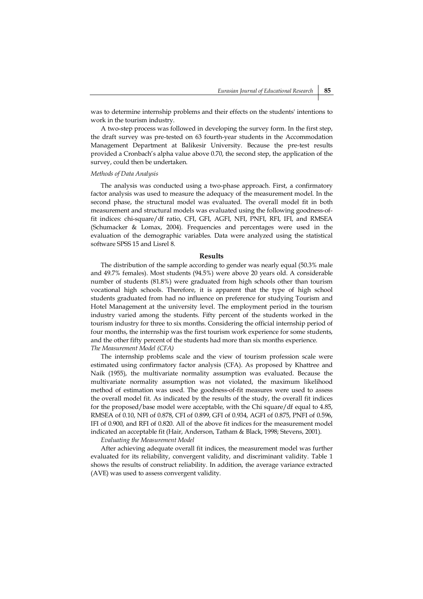was to determine internship problems and their effects on the students' intentions to work in the tourism industry.

A two-step process was followed in developing the survey form. In the first step, the draft survey was pre-tested on 63 fourth-year students in the Accommodation Management Department at Balikesir University. Because the pre-test results provided a Cronbach's alpha value above 0.70, the second step, the application of the survey, could then be undertaken.

#### *Methods of Data Analysis*

The analysis was conducted using a two-phase approach. First, a confirmatory factor analysis was used to measure the adequacy of the measurement model. In the second phase, the structural model was evaluated. The overall model fit in both measurement and structural models was evaluated using the following goodness-offit indices: chi-square/df ratio, CFI, GFI, AGFI, NFI, PNFI, RFI, IFI, and RMSEA (Schumacker & Lomax, 2004). Frequencies and percentages were used in the evaluation of the demographic variables. Data were analyzed using the statistical software SPSS 15 and Lisrel 8.

#### **Results**

The distribution of the sample according to gender was nearly equal (50.3% male and 49.7% females). Most students (94.5%) were above 20 years old. A considerable number of students (81.8%) were graduated from high schools other than tourism vocational high schools. Therefore, it is apparent that the type of high school students graduated from had no influence on preference for studying Tourism and Hotel Management at the university level. The employment period in the tourism industry varied among the students. Fifty percent of the students worked in the tourism industry for three to six months. Considering the official internship period of four months, the internship was the first tourism work experience for some students, and the other fifty percent of the students had more than six months experience. *The Measurement Model (CFA)*

The internship problems scale and the view of tourism profession scale were estimated using confirmatory factor analysis (CFA). As proposed by Khattree and Naik (1955), the multivariate normality assumption was evaluated. Because the multivariate normality assumption was not violated, the maximum likelihood method of estimation was used. The goodness-of-fit measures were used to assess the overall model fit. As indicated by the results of the study, the overall fit indices for the proposed/base model were acceptable, with the Chi square/df equal to 4.85, RMSEA of 0.10, NFI of 0.878, CFI of 0.899, GFI of 0.934, AGFI of 0.875, PNFI of 0.596, IFI of 0.900, and RFI of 0.820. All of the above fit indices for the measurement model indicated an acceptable fit (Hair, Anderson, Tatham & Black, 1998; Stevens, 2001).

*Evaluating the Measurement Model*

After achieving adequate overall fit indices, the measurement model was further evaluated for its reliability, convergent validity, and discriminant validity. Table 1 shows the results of construct reliability. In addition, the average variance extracted (AVE) was used to assess convergent validity.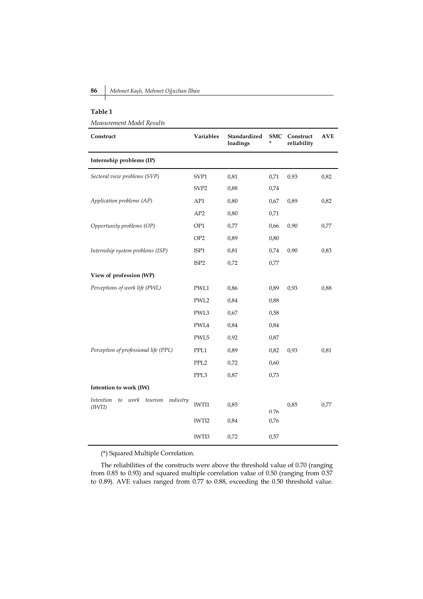# **86** *Mehmet Kaşlı, Mehmet Oğuzhan İlban*

## **Table 1**

*Measurement Model Results*

| Construct                                                       | Variables        | Standardized<br>loadings | <b>SMC</b><br>× | Construct<br>reliability | <b>AVE</b> |
|-----------------------------------------------------------------|------------------|--------------------------|-----------------|--------------------------|------------|
| Internship problems (IP)                                        |                  |                          |                 |                          |            |
| Sectoral view problems (SVP)                                    | SVP1             | 0,81                     | 0,71            | 0,93                     | 0,82       |
|                                                                 | SVP <sub>2</sub> | 0,88                     | 0,74            |                          |            |
| Application problems (AP)                                       | AP1              | 0,80                     | 0,67            | 0,89                     | 0,82       |
|                                                                 | AP2              | 0,80                     | 0,71            |                          |            |
| Opportunity problems (OP)                                       | OP1              | 0,77                     | 0,66            | 0,90                     | 0,77       |
|                                                                 | OP <sub>2</sub>  | 0,89                     | 0,80            |                          |            |
| Internship system problems (ISP)                                | ISP1             | 0,81                     | 0,74            | 0,90                     | 0,83       |
|                                                                 | ISP <sub>2</sub> | 0,72                     | 0,77            |                          |            |
| View of profession (WP)                                         |                  |                          |                 |                          |            |
| Perceptions of work life (PWL)                                  | PWL1             | 0,86                     | 0,89            | 0,93                     | 0,88       |
|                                                                 | PWL2             | 0,84                     | 0,88            |                          |            |
|                                                                 | PWL3             | 0,67                     | 0,58            |                          |            |
|                                                                 | PWL4             | 0,84                     | 0,84            |                          |            |
|                                                                 | PWL5             | 0,92                     | 0,87            |                          |            |
| Perception of professional life (PPL)                           | PPL1             | 0,89                     | 0,82            | 0,93                     | 0,81       |
|                                                                 | PPL <sub>2</sub> | 0,72                     | 0,60            |                          |            |
|                                                                 | PPL3             | 0,87                     | 0,73            |                          |            |
| Intention to work (IW)                                          |                  |                          |                 |                          |            |
| <b>Intention</b><br>work<br>tourism<br>industry<br>to<br>(IVTI) | IWTI1            | 0,85                     |                 | 0,85                     | 0,77       |
|                                                                 |                  |                          | 0.76            |                          |            |
|                                                                 | IWTI2            | 0,84                     | 0,76            |                          |            |
|                                                                 | IWTI3            | 0,72                     | 0,57            |                          |            |

(\*) Squared Multiple Correlation.

The reliabilities of the constructs were above the threshold value of 0.70 (ranging from 0.85 to 0.93) and squared multiple correlation value of 0.50 (ranging from 0.57 to 0.89). AVE values ranged from 0.77 to 0.88, exceeding the 0.50 threshold value.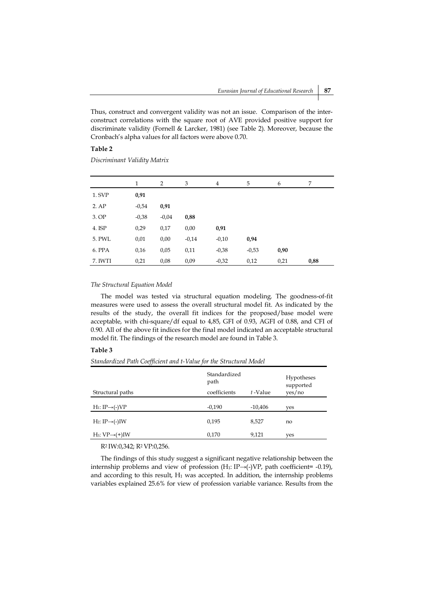Thus, construct and convergent validity was not an issue. Comparison of the interconstruct correlations with the square root of AVE provided positive support for discriminate validity (Fornell & Larcker, 1981) (see Table 2). Moreover, because the Cronbach's alpha values for all factors were above 0.70.

# **Table 2**

*Discriminant Validity Matrix*

|         | 1       | 2       | 3       | 4       | 5       | 6    | 7    |
|---------|---------|---------|---------|---------|---------|------|------|
| 1. SVP  | 0,91    |         |         |         |         |      |      |
| 2.AP    | $-0,54$ | 0,91    |         |         |         |      |      |
| 3. OP   | $-0,38$ | $-0,04$ | 0,88    |         |         |      |      |
| 4. ISP  | 0,29    | 0,17    | 0,00    | 0,91    |         |      |      |
| 5. PWL  | 0,01    | 0,00    | $-0,14$ | $-0,10$ | 0,94    |      |      |
| 6. PPA  | 0,16    | 0,05    | 0,11    | $-0,38$ | $-0,53$ | 0,90 |      |
| 7. IWTI | 0,21    | 0,08    | 0,09    | $-0,32$ | 0,12    | 0,21 | 0,88 |

# *The Structural Equation Model*

The model was tested via structural equation modeling. The goodness-of-fit measures were used to assess the overall structural model fit. As indicated by the results of the study, the overall fit indices for the proposed/base model were acceptable, with chi-square/df equal to 4,85, GFI of 0.93, AGFI of 0.88, and CFI of 0.90. All of the above fit indices for the final model indicated an acceptable structural model fit. The findings of the research model are found in Table 3.

# **Table 3**

*Standardized Path Coefficient and t-Value for the Structural Model* 

| Structural paths            | Standardized<br>path<br>coefficients | t-Value   | Hypotheses<br>supported<br>yes/no |
|-----------------------------|--------------------------------------|-----------|-----------------------------------|
| $H_1: IP \rightarrow (-)VP$ | $-0,190$                             | $-10.406$ | yes                               |
| $H_2: IP \rightarrow (-)IW$ | 0,195                                | 8,527     | no                                |
| $H_3: VP \rightarrow (+)IW$ | 0,170                                | 9,121     | yes                               |

R2 IW:0,342; R2 VP:0,256.

The findings of this study suggest a significant negative relationship between the internship problems and view of profession  $(H_1: IP \rightarrow (-)VP)$ , path coefficient= -0.19), and according to this result,  $H_1$  was accepted. In addition, the internship problems variables explained 25.6% for view of profession variable variance. Results from the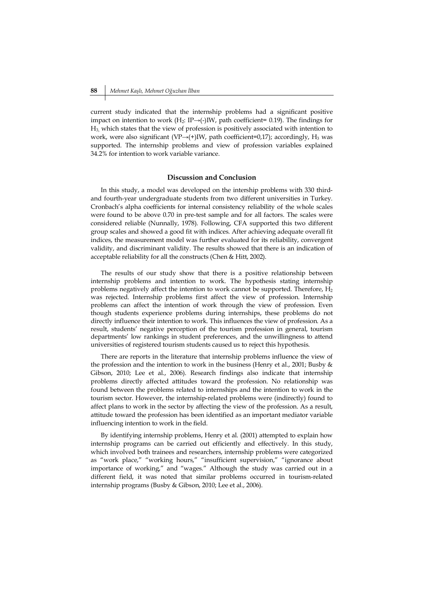current study indicated that the internship problems had a significant positive impact on intention to work (H<sub>2</sub>: IP→(-)IW, path coefficient= 0.19). The findings for H3, which states that the view of profession is positively associated with intention to work, were also significant (VP→(+)IW, path coefficient=0,17); accordingly, H<sub>3</sub> was supported. The internship problems and view of profession variables explained 34.2% for intention to work variable variance.

#### **Discussion and Conclusion**

In this study, a model was developed on the intership problems with 330 thirdand fourth-year undergraduate students from two different universities in Turkey. Cronbach's alpha coefficients for internal consistency reliability of the whole scales were found to be above 0.70 in pre-test sample and for all factors. The scales were considered reliable (Nunnally, 1978). Following, CFA supported this two different group scales and showed a good fit with indices. After achieving adequate overall fit indices, the measurement model was further evaluated for its reliability, convergent validity, and discriminant validity. The results showed that there is an indication of acceptable reliability for all the constructs (Chen & Hitt, 2002).

The results of our study show that there is a positive relationship between internship problems and intention to work. The hypothesis stating internship problems negatively affect the intention to work cannot be supported. Therefore,  $H_2$ was rejected. Internship problems first affect the view of profession. Internship problems can affect the intention of work through the view of profession. Even though students experience problems during internships, these problems do not directly influence their intention to work. This influences the view of profession. As a result, students' negative perception of the tourism profession in general, tourism departments' low rankings in student preferences, and the unwillingness to attend universities of registered tourism students caused us to reject this hypothesis.

There are reports in the literature that internship problems influence the view of the profession and the intention to work in the business (Henry et al., 2001; Busby & Gibson, 2010; Lee et al., 2006). Research findings also indicate that internship problems directly affected attitudes toward the profession. No relationship was found between the problems related to internships and the intention to work in the tourism sector. However, the internship-related problems were (indirectly) found to affect plans to work in the sector by affecting the view of the profession. As a result, attitude toward the profession has been identified as an important mediator variable influencing intention to work in the field.

By identifying internship problems, Henry et al. (2001) attempted to explain how internship programs can be carried out efficiently and effectively. In this study, which involved both trainees and researchers, internship problems were categorized as "work place," "working hours," "insufficient supervision," "ignorance about importance of working," and "wages." Although the study was carried out in a different field, it was noted that similar problems occurred in tourism-related internship programs (Busby & Gibson, 2010; Lee et al., 2006).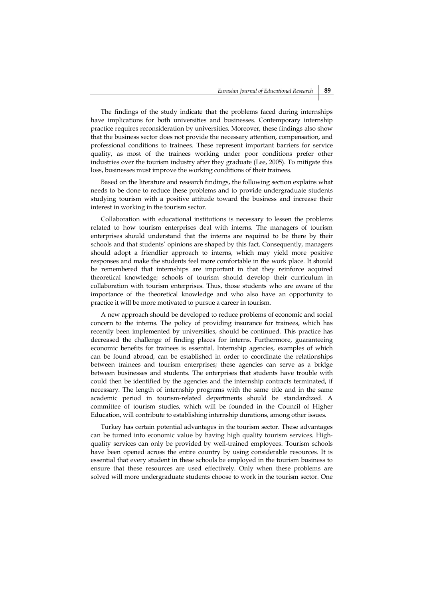The findings of the study indicate that the problems faced during internships have implications for both universities and businesses. Contemporary internship practice requires reconsideration by universities. Moreover, these findings also show that the business sector does not provide the necessary attention, compensation, and professional conditions to trainees. These represent important barriers for service quality, as most of the trainees working under poor conditions prefer other industries over the tourism industry after they graduate (Lee, 2005). To mitigate this loss, businesses must improve the working conditions of their trainees.

Based on the literature and research findings, the following section explains what needs to be done to reduce these problems and to provide undergraduate students studying tourism with a positive attitude toward the business and increase their interest in working in the tourism sector.

Collaboration with educational institutions is necessary to lessen the problems related to how tourism enterprises deal with interns. The managers of tourism enterprises should understand that the interns are required to be there by their schools and that students' opinions are shaped by this fact. Consequently, managers should adopt a friendlier approach to interns, which may yield more positive responses and make the students feel more comfortable in the work place. It should be remembered that internships are important in that they reinforce acquired theoretical knowledge; schools of tourism should develop their curriculum in collaboration with tourism enterprises. Thus, those students who are aware of the importance of the theoretical knowledge and who also have an opportunity to practice it will be more motivated to pursue a career in tourism.

A new approach should be developed to reduce problems of economic and social concern to the interns. The policy of providing insurance for trainees, which has recently been implemented by universities, should be continued. This practice has decreased the challenge of finding places for interns. Furthermore, guaranteeing economic benefits for trainees is essential. Internship agencies, examples of which can be found abroad, can be established in order to coordinate the relationships between trainees and tourism enterprises; these agencies can serve as a bridge between businesses and students. The enterprises that students have trouble with could then be identified by the agencies and the internship contracts terminated, if necessary. The length of internship programs with the same title and in the same academic period in tourism-related departments should be standardized. A committee of tourism studies, which will be founded in the Council of Higher Education, will contribute to establishing internship durations, among other issues.

Turkey has certain potential advantages in the tourism sector. These advantages can be turned into economic value by having high quality tourism services. Highquality services can only be provided by well-trained employees. Tourism schools have been opened across the entire country by using considerable resources. It is essential that every student in these schools be employed in the tourism business to ensure that these resources are used effectively. Only when these problems are solved will more undergraduate students choose to work in the tourism sector. One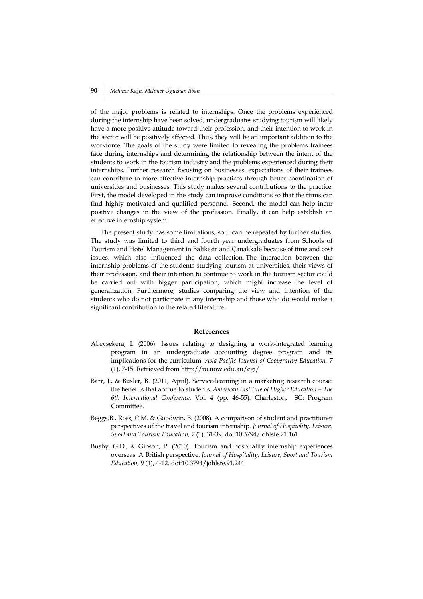of the major problems is related to internships. Once the problems experienced during the internship have been solved, undergraduates studying tourism will likely have a more positive attitude toward their profession, and their intention to work in the sector will be positively affected. Thus, they will be an important addition to the workforce. The goals of the study were limited to revealing the problems trainees face during internships and determining the relationship between the intent of the students to work in the tourism industry and the problems experienced during their internships. Further research focusing on businesses' expectations of their trainees can contribute to more effective internship practices through better coordination of universities and businesses. This study makes several contributions to the practice. First, the model developed in the study can improve conditions so that the firms can find highly motivated and qualified personnel. Second, the model can help incur positive changes in the view of the profession. Finally, it can help establish an effective internship system.

The present study has some limitations, so it can be repeated by further studies. The study was limited to third and fourth year undergraduates from Schools of Tourism and Hotel Management in Balikesir and Çanakkale because of time and cost issues, which also influenced the data collection. The interaction between the internship problems of the students studying tourism at universities, their views of their profession, and their intention to continue to work in the tourism sector could be carried out with bigger participation, which might increase the level of generalization. Furthermore, studies comparing the view and intention of the students who do not participate in any internship and those who do would make a significant contribution to the related literature.

# **References**

- Abeysekera, I. (2006). Issues relating to designing a work-integrated learning program in an undergraduate accounting degree program and its implications for the curriculum. *Asia-Pacific Journal of Cooperative Education, 7*  (1), 7-15. Retrieved from http://ro.uow.edu.au/cgi/
- Barr, J., & Busler, B. (2011, April). Service-learning in a marketing research course: the benefits that accrue to students, *American Institute of Higher Education – The 6th International Conference*, Vol. 4 (pp. 46-55). Charleston, SC: Program Committee.
- Beggs,B., Ross, C.M. & Goodwin, B. (2008). A comparison of student and practitioner perspectives of the travel and tourism internship. *Journal of Hospitality, Leisure, Sport and Tourism Education, 7* (1), 31-39. doi:10.3794/johlste.71.161
- Busby, G.D., & Gibson, P. (2010). Tourism and hospitality internship experiences overseas: A British perspective. *Journal of Hospitality, Leisure, Sport and Tourism Education, 9* (1), 4-12. doi:10.3794/johlste.91.244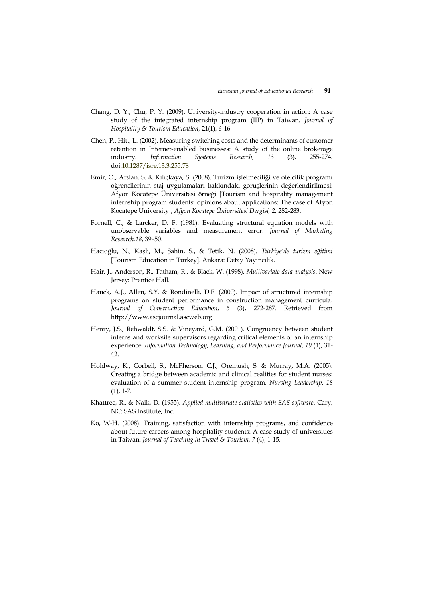- Chang, D. Y., Chu, P. Y. (2009). University-industry cooperation in action: A case study of the integrated internship program (IIP) in Taiwan. *Journal of Hospitality & Tourism Education*, 21(1), 6-16.
- Chen, P., Hitt, L. (2002). Measuring switching costs and the determinants of customer retention in Internet-enabled businesses: A study of the online brokerage industry. *Information Systems Research, 13* (3), 255-274. doi:10.1287/isre.13.3.255.78
- Emir, O., Arslan, S. & Kılıçkaya, S. (2008). Turizm işletmeciliği ve otelcilik programı öğrencilerinin staj uygulamaları hakkındaki görüşlerinin değerlendirilmesi: Afyon Kocatepe Üniversitesi örneği [Tourism and hospitality management internship program students' opinions about applications: The case of Afyon Kocatepe University], *Afyon Kocatepe Üniversitesi Dergisi, 2,* 282-283.
- Fornell, C., & Larcker, D. F. (1981). Evaluating structural equation models with unobservable variables and measurement error. *Journal of Marketing Research,18*, 39–50.
- Hacıoğlu, N., Kaşlı, M., Şahin, S., & Tetik, N. (2008). *Türkiye'de turizm eğitimi*  [Tourism Education in Turkey]. Ankara: Detay Yayıncılık.
- Hair, J., Anderson, R., Tatham, R., & Black, W. (1998). *Multivariate data analysis*. New Jersey: Prentice Hall.
- Hauck, A.J., Allen, S.Y. & Rondinelli, D.F. (2000). Impact of structured internship programs on student performance in construction management curricula. *Journal of Construction Education*, *5* (3), 272-287. Retrieved from http://www.ascjournal.ascweb.org
- Henry, J.S., Rehwaldt, S.S. & Vineyard, G.M. (2001). Congruency between student interns and worksite supervisors regarding critical elements of an internship experience. *Information Technology, Learning, and Performance Journal*, *19* (1), 31- 42.
- Holdway, K., Corbeil, S., McPherson, C.J., Oremush, S. & Murray, M.A. (2005). Creating a bridge between academic and clinical realities for student nurses: evaluation of a summer student internship program. *Nursing Leadership*, *18*  $(1)$ , 1-7.
- Khattree, R., & Naik, D. (1955). *Applied multivariate statistics with SAS software*. Cary, NC: SAS Institute, Inc.
- Ko, W-H. (2008). Training, satisfaction with internship programs, and confidence about future careers among hospitality students: A case study of universities in Taiwan. *Journal of Teaching in Travel & Tourism*, *7* (4), 1-15.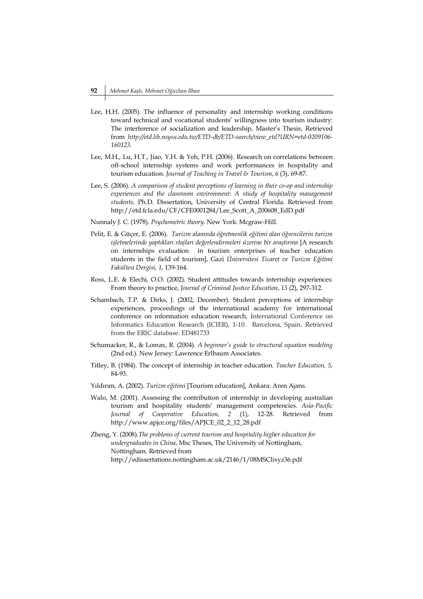- Lee, H.H. (2005). The influence of personality and internship working conditions toward technical and vocational students' willingness into tourism industry: The interference of socialization and leadership, Master's Thesis, Retrieved from *http://etd.lib.nsysu.edu.tw/ETD-db/ETD-search/view\_etd?URN=etd-0209106- 160123.*
- Lee, M.H., Lu, H.T., Jiao, Y.H. & Yeh, P.H. (2006). Research on correlations between off-school internship systems and work performances in hospitality and tourism education. *Journal of Teaching in Travel & Tourism*, *6* (3), 69-87.
- Lee, S. (2006). *A comparison of student perceptions of learning in their co-op and internship experiences and the classroom environment: A study of hospitality management students,* Ph.D. Dissertation, University of Central Florida. Retrieved from http://etd.fcla.edu/CF/CFE0001284/Lee\_Scott\_A\_200608\_EdD.pdf
- Nunnaly J. C. (1978). *Psychometric theory*. New York: Mcgraw-Hill.
- Pelit, E. & Güçer, E. (2006). *Turizm alanında öğretmenlik eğitimi alan öğrencilerin turizm işletmelerinde yaptıkları stajları değerlendirmeleri üzerine bir araştırma* [A research on internships evaluation in tourism enterprises of teacher education students in the field of tourism], Gazi *Üniversitesi Ticaret ve Turizm Eğitimi Fakültesi Dergisi, 1*, 139-164.
- Ross, L.E. & Elechi, O.O. (2002). Student attitudes towards internship experiences: From theory to practice, *Journal of Criminal Justice Education*, *13* (2), 297-312.
- Schambach, T.P. & Dirks, J. (2002, December). Student perceptions of internship experiences, proceedings of the international academy for international conference on information education research*,* International Conference on Informatics Education Research (ICIER), 1-10. Barcelona, Spain. Retrieved from the ERIC database. ED481733
- Schumacker, R., & Lomax, R. (2004). *A beginner's guide to structural equation modeling* (2nd ed.). New Jersey: Lawrence Erlbaum Associates.
- Titley, B. (1984). The concept of internship in teacher education. *Teacher Education, 5*, 84-93.
- Yıldırım, A. (2002). *Turizm eğitimi* [Tourism education], Ankara: Aren Ajans.
- Walo, M. (2001). Assessing the contribution of ınternship in developing australian tourism and hospitality students' management competencies. *Asia-Pacific Journal of Cooperative Education*, *2* (1), 12-28. Retrieved from http://www.apjce.org/files/APJCE\_02\_2\_12\_28.pdf
- Zheng, Y. (2008).*The problems of current tourism and hospitality higher education for undergraduates in China*, Msc Theses, The University of Nottingham, Nottingham. Retrieved from http://edissertations.nottingham.ac.uk/2146/1/08MSClixyz36.pdf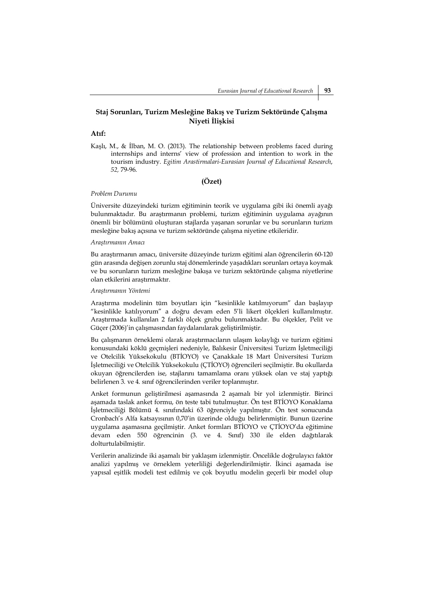# **Staj Sorunları, Turizm Mesleğine Bakış ve Turizm Sektöründe Çalışma Niyeti İlişkisi**

#### **Atıf:**

Kaşlı, M., & İlban, M. O. (2013). The relationship between problems faced during internships and interns' view of profession and intention to work in the tourism industry. *Egitim Arastirmalari-Eurasian Journal of Educational Research*, *52,* 79-96.

# **(Özet)**

#### *Problem Durumu*

Üniversite düzeyindeki turizm eğitiminin teorik ve uygulama gibi iki önemli ayağı bulunmaktadır. Bu araştırmanın problemi, turizm eğitiminin uygulama ayağının önemli bir bölümünü oluşturan stajlarda yaşanan sorunlar ve bu sorunların turizm mesleğine bakış açısına ve turizm sektöründe çalışma niyetine etkileridir.

## *Araştırmanın Amacı*

Bu araştırmanın amacı, üniversite düzeyinde turizm eğitimi alan öğrencilerin 60-120 gün arasında değişen zorunlu staj dönemlerinde yaşadıkları sorunları ortaya koymak ve bu sorunların turizm mesleğine bakışa ve turizm sektöründe çalışma niyetlerine olan etkilerini araştırmaktır.

## *Araştırmanın Yöntemi*

Araştırma modelinin tüm boyutları için "kesinlikle katılmıyorum" dan başlayıp "kesinlikle katılıyorum" a doğru devam eden 5'li likert ölçekleri kullanılmıştır. Araştırmada kullanılan 2 farklı ölçek grubu bulunmaktadır. Bu ölçekler, Pelit ve Güçer (2006)'in çalışmasından faydalanılarak geliştirilmiştir.

Bu çalışmanın örneklemi olarak araştırmacıların ulaşım kolaylığı ve turizm eğitimi konusundaki köklü geçmişleri nedeniyle, Balıkesir Üniversitesi Turizm İşletmeciliği ve Otelcilik Yüksekokulu (BTİOYO) ve Çanakkale 18 Mart Üniversitesi Turizm İşletmeciliği ve Otelcilik Yüksekokulu (ÇTİOYO) öğrencileri seçilmiştir. Bu okullarda okuyan öğrencilerden ise, stajlarını tamamlama oranı yüksek olan ve staj yaptığı belirlenen 3. ve 4. sınıf öğrencilerinden veriler toplanmıştır.

Anket formunun geliştirilmesi aşamasında 2 aşamalı bir yol izlenmiştir. Birinci aşamada taslak anket formu, ön teste tabi tutulmuştur. Ön test BTİOYO Konaklama İşletmeciliği Bölümü 4. sınıfındaki 63 öğrenciyle yapılmıştır. Ön test sonucunda Cronbach's Alfa katsayısının 0,70'in üzerinde olduğu belirlenmiştir. Bunun üzerine uygulama aşamasına geçilmiştir. Anket formları BTİOYO ve ÇTİOYO'da eğitimine devam eden 550 öğrencinin (3. ve 4. Sınıf) 330 ile elden dağıtılarak dolturtulabilmiştir.

Verilerin analizinde iki aşamalı bir yaklaşım izlenmiştir. Öncelikle doğrulayıcı faktör analizi yapılmış ve örneklem yeterliliği değerlendirilmiştir. İkinci aşamada ise yapısal eşitlik modeli test edilmiş ve çok boyutlu modelin geçerli bir model olup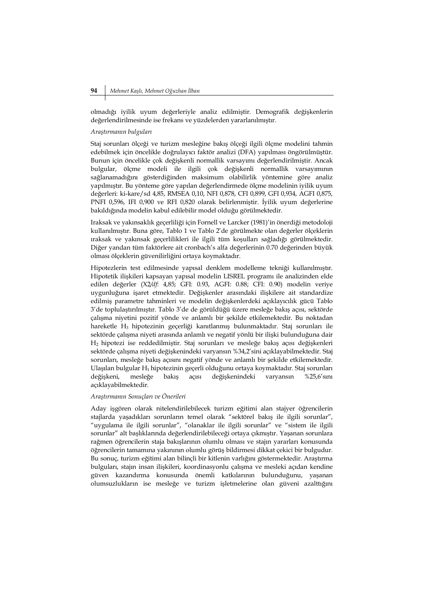olmadığı iyilik uyum değerleriyle analiz edilmiştir. Demografik değişkenlerin değerlendirilmesinde ise frekans ve yüzdelerden yararlanılmıştır.

## *Araştırmanın bulguları*

Staj sorunları ölçeği ve turizm mesleğine bakış ölçeği ilgili ölçme modelini tahmin edebilmek için öncelikle doğrulayıcı faktör analizi (DFA) yapılması öngörülmüştür. Bunun için öncelikle çok değişkenli normallik varsayımı değerlendirilmiştir. Ancak bulgular, ölçme modeli ile ilgili çok değişkenli normallik varsayımının sağlanamadığını gösterdiğinden maksimum olabilirlik yöntemine göre analiz yapılmıştır. Bu yönteme göre yapılan değerlendirmede ölçme modelinin iyilik uyum değerleri: ki-kare/sd 4,85, RMSEA 0,10, NFI 0,878, CFI 0,899, GFI 0,934, AGFI 0,875, PNFI 0,596, IFI 0,900 ve RFI 0,820 olarak belirlenmiştir. İyilik uyum değerlerine bakıldığında modelin kabul edilebilir model olduğu görülmektedir.

Iraksak ve yakınsaklık geçerliliği için Fornell ve Larcker (1981)'in önerdiği metodoloji kullanılmıştır. Buna göre, Tablo 1 ve Tablo 2'de görülmekte olan değerler ölçeklerin ıraksak ve yakınsak geçerlilikleri ile ilgili tüm koşulları sağladığı görülmektedir. Diğer yandan tüm faktörlere ait cronbach's alfa değerlerinin 0.70 değerinden büyük olması ölçeklerin güvenilirliğini ortaya koymaktadır.

Hipotezlerin test edilmesinde yapısal denklem modelleme tekniği kullanılmıştır. Hipotetik ilişkileri kapsayan yapısal modelin LISREL programı ile analizinden elde edilen değerler (X2*/df*: 4,85; GFI: 0.93, AGFI: 0.88; CFI: 0.90) modelin veriye uygunluğuna işaret etmektedir. Değişkenler arasındaki ilişkilere ait standardize edilmiş parametre tahminleri ve modelin değişkenlerdeki açıklayıcılık gücü Tablo 3'de toplulaştırılmıştır. Tablo 3'de de görüldüğü üzere mesleğe bakış açısı, sektörde çalışma niyetini pozitif yönde ve anlamlı bir şekilde etkilemektedir. Bu noktadan hareketle H3 hipotezinin geçerliği kanıtlanmış bulunmaktadır. Staj sorunları ile sektörde çalışma niyeti arasında anlamlı ve negatif yönlü bir ilişki bulunduğuna dair H2 hipotezi ise reddedilmiştir. Staj sorunları ve mesleğe bakış açısı değişkenleri sektörde çalışma niyeti değişkenindeki varyansın %34,2'sini açıklayabilmektedir. Staj sorunları, mesleğe bakış açısını negatif yönde ve anlamlı bir şekilde etkilemektedir. Ulaşılan bulgular H1 hipotezinin geçerli olduğunu ortaya koymaktadır. Staj sorunları değişkeni, mesleğe bakış açısı değişkenindeki varyansın %25,6'sını açıklayabilmektedir.

#### *Araştırmanın Sonuçları ve Önerileri*

Aday işgören olarak nitelendirilebilecek turizm eğitimi alan stajyer öğrencilerin stajlarda yaşadıkları sorunların temel olarak "sektörel bakış ile ilgili sorunlar", "uygulama ile ilgili sorunlar", "olanaklar ile ilgili sorunlar" ve "sistem ile ilgili sorunlar" alt başlıklarında değerlendirilebileceği ortaya çıkmıştır. Yaşanan sorunlara rağmen öğrencilerin staja bakışlarının olumlu olması ve stajın yararları konusunda öğrencilerin tamamına yakınının olumlu görüş bildirmesi dikkat çekici bir bulgudur. Bu sonuç, turizm eğitimi alan bilinçli bir kitlenin varlığını göstermektedir. Araştırma bulguları, stajın insan ilişkileri, koordinasyonlu çalışma ve mesleki açıdan kendine güven kazandırma konusunda önemli katkılarının bulunduğunu, yaşanan olumsuzlukların ise mesleğe ve turizm işletmelerine olan güveni azalttığını